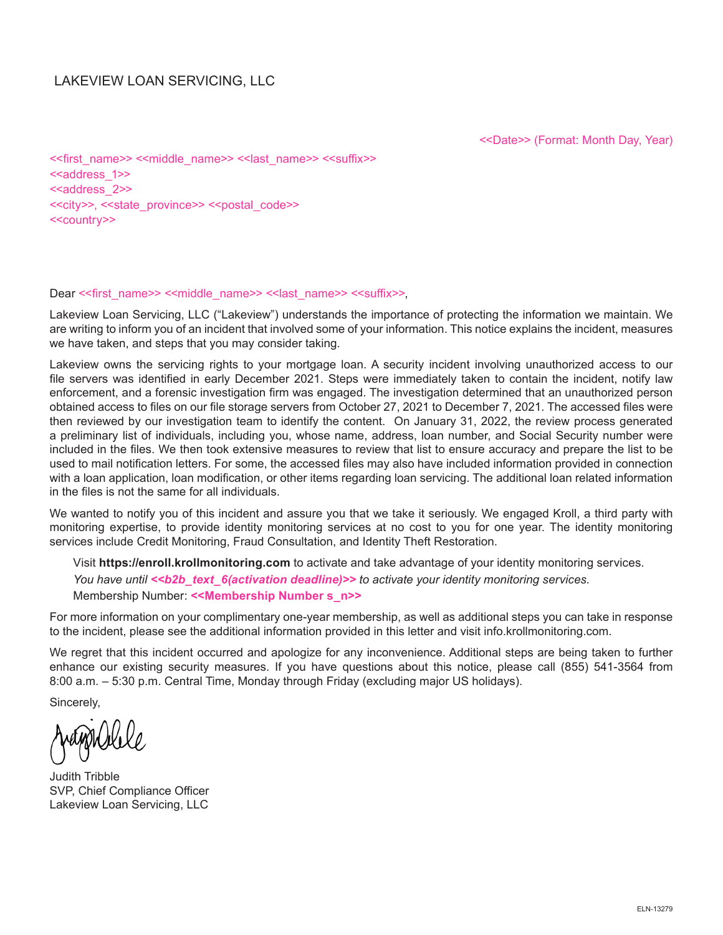## LAKEVIEW LOAN SERVICING, LLC

<<Date>> (Format: Month Day, Year)

<<first\_name>> <<middle\_name>> <<last\_name>> <<suffix>> <<address\_1>> <<address\_2>> <<city>>, <<state\_province>> <<postal\_code>> <<country>>

#### Dear << first\_name>> <<middle\_name>> << last\_name>> <<suffix>>,

Lakeview Loan Servicing, LLC ("Lakeview") understands the importance of protecting the information we maintain. We are writing to inform you of an incident that involved some of your information. This notice explains the incident, measures we have taken, and steps that you may consider taking.

Lakeview owns the servicing rights to your mortgage loan. A security incident involving unauthorized access to our file servers was identified in early December 2021. Steps were immediately taken to contain the incident, notify law enforcement, and a forensic investigation firm was engaged. The investigation determined that an unauthorized person obtained access to files on our file storage servers from October 27, 2021 to December 7, 2021. The accessed files were then reviewed by our investigation team to identify the content. On January 31, 2022, the review process generated a preliminary list of individuals, including you, whose name, address, loan number, and Social Security number were included in the files. We then took extensive measures to review that list to ensure accuracy and prepare the list to be used to mail notification letters. For some, the accessed files may also have included information provided in connection with a loan application, loan modification, or other items regarding loan servicing. The additional loan related information in the files is not the same for all individuals.

We wanted to notify you of this incident and assure you that we take it seriously. We engaged Kroll, a third party with monitoring expertise, to provide identity monitoring services at no cost to you for one year. The identity monitoring services include Credit Monitoring, Fraud Consultation, and Identity Theft Restoration.

Visit **https://enroll.krollmonitoring.com** to activate and take advantage of your identity monitoring services. You have until << b2b\_text\_6(activation deadline)>> to activate your identity monitoring services. Membership Number: **<<Membership Number s\_n>>**

For more information on your complimentary one-year membership, as well as additional steps you can take in response to the incident, please see the additional information provided in this letter and visit info.krollmonitoring.com.

We regret that this incident occurred and apologize for any inconvenience. Additional steps are being taken to further enhance our existing security measures. If you have questions about this notice, please call (855) 541-3564 from 8:00 a.m. – 5:30 p.m. Central Time, Monday through Friday (excluding major US holidays).

Sincerely,

Judith Tribble SVP, Chief Compliance Officer Lakeview Loan Servicing, LLC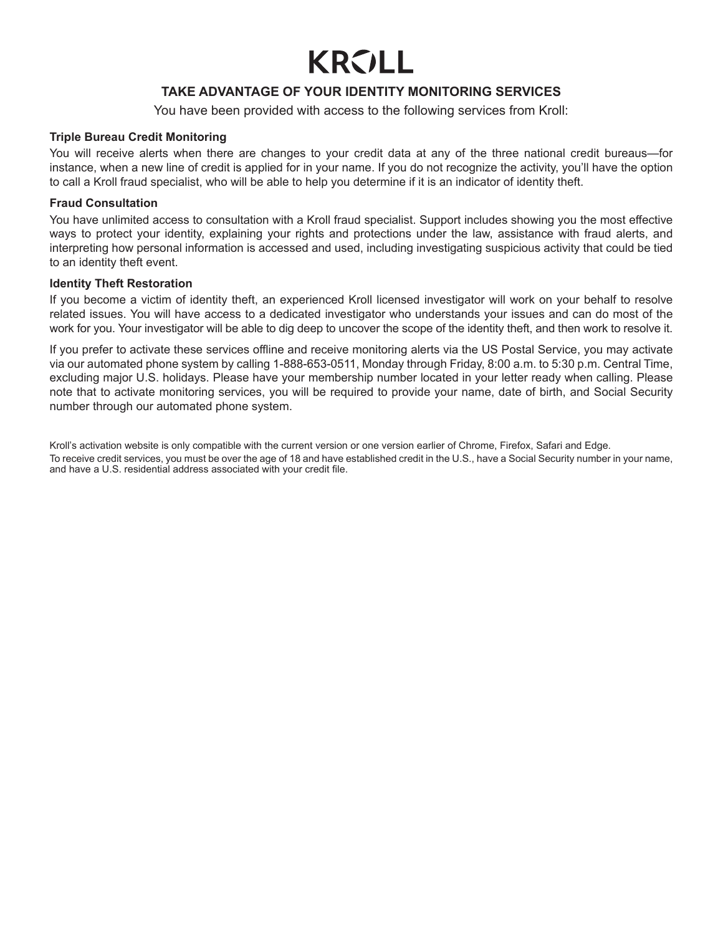# **KRVLL**

## **TAKE ADVANTAGE OF YOUR IDENTITY MONITORING SERVICES**

You have been provided with access to the following services from Kroll:

#### **Triple Bureau Credit Monitoring**

You will receive alerts when there are changes to your credit data at any of the three national credit bureaus—for instance, when a new line of credit is applied for in your name. If you do not recognize the activity, you'll have the option to call a Kroll fraud specialist, who will be able to help you determine if it is an indicator of identity theft.

#### **Fraud Consultation**

You have unlimited access to consultation with a Kroll fraud specialist. Support includes showing you the most effective ways to protect your identity, explaining your rights and protections under the law, assistance with fraud alerts, and interpreting how personal information is accessed and used, including investigating suspicious activity that could be tied to an identity theft event.

#### **Identity Theft Restoration**

If you become a victim of identity theft, an experienced Kroll licensed investigator will work on your behalf to resolve related issues. You will have access to a dedicated investigator who understands your issues and can do most of the work for you. Your investigator will be able to dig deep to uncover the scope of the identity theft, and then work to resolve it.

If you prefer to activate these services offline and receive monitoring alerts via the US Postal Service, you may activate via our automated phone system by calling 1-888-653-0511, Monday through Friday, 8:00 a.m. to 5:30 p.m. Central Time, excluding major U.S. holidays. Please have your membership number located in your letter ready when calling. Please note that to activate monitoring services, you will be required to provide your name, date of birth, and Social Security number through our automated phone system.

Kroll's activation website is only compatible with the current version or one version earlier of Chrome, Firefox, Safari and Edge. To receive credit services, you must be over the age of 18 and have established credit in the U.S., have a Social Security number in your name, and have a U.S. residential address associated with your credit file.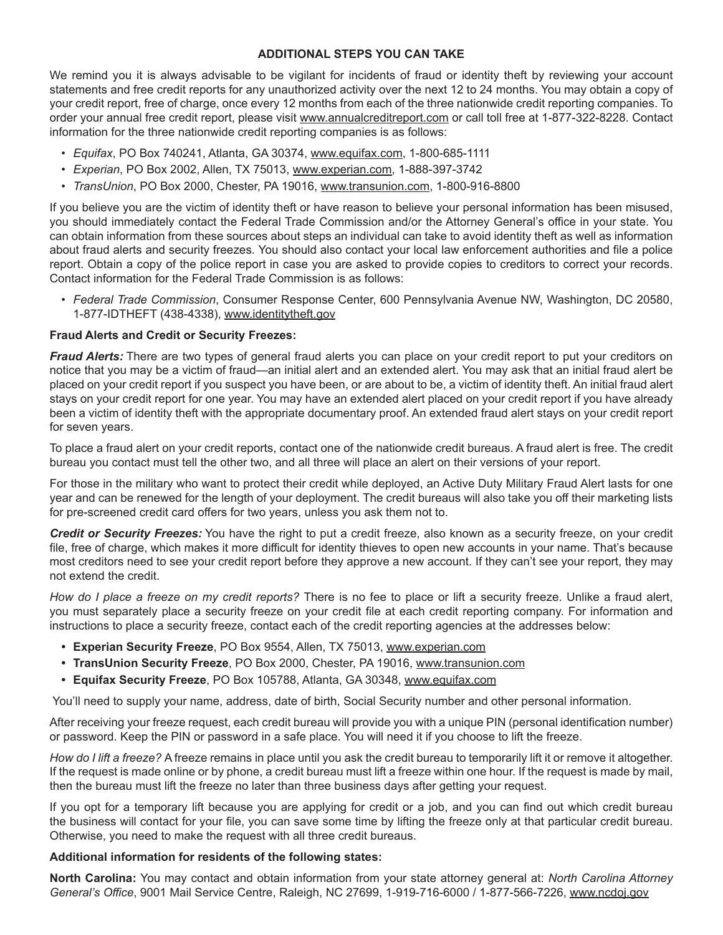### **ADDITIONAL STEPS YOU CAN TAKE**

We remind you it is always advisable to be vigilant for incidents of fraud or identity theft by reviewing your account statements and free credit reports for any unauthorized activity over the next 12 to 24 months. You may obtain a copy of your credit report, free of charge, once every 12 months from each of the three nationwide credit reporting companies. To order your annual free credit report, please visit www.annualcreditreport.com or call toll free at 1-877-322-8228. Contact information for the three nationwide credit reporting companies is as follows:

- *• Equifax*, PO Box 740241, Atlanta, GA 30374, www.equifax.com, 1-800-685-1111
- *• Experian*, PO Box 2002, Allen, TX 75013, www.experian.com, 1-888-397-3742
- *• TransUnion*, PO Box 2000, Chester, PA 19016, www.transunion.com, 1-800-916-8800

If you believe you are the victim of identity theft or have reason to believe your personal information has been misused, you should immediately contact the Federal Trade Commission and/or the Attorney General's office in your state. You can obtain information from these sources about steps an individual can take to avoid identity theft as well as information about fraud alerts and security freezes. You should also contact your local law enforcement authorities and file a police report. Obtain a copy of the police report in case you are asked to provide copies to creditors to correct your records. Contact information for the Federal Trade Commission is as follows:

*• Federal Trade Commission*, Consumer Response Center, 600 Pennsylvania Avenue NW, Washington, DC 20580, 1-877-IDTHEFT (438-4338), www.identitytheft.gov

#### **Fraud Alerts and Credit or Security Freezes:**

*Fraud Alerts:* There are two types of general fraud alerts you can place on your credit report to put your creditors on notice that you may be a victim of fraud—an initial alert and an extended alert. You may ask that an initial fraud alert be placed on your credit report if you suspect you have been, or are about to be, a victim of identity theft. An initial fraud alert stays on your credit report for one year. You may have an extended alert placed on your credit report if you have already been a victim of identity theft with the appropriate documentary proof. An extended fraud alert stays on your credit report for seven years.

To place a fraud alert on your credit reports, contact one of the nationwide credit bureaus. A fraud alert is free. The credit bureau you contact must tell the other two, and all three will place an alert on their versions of your report.

For those in the military who want to protect their credit while deployed, an Active Duty Military Fraud Alert lasts for one year and can be renewed for the length of your deployment. The credit bureaus will also take you off their marketing lists for pre-screened credit card offers for two years, unless you ask them not to.

*Credit or Security Freezes:* You have the right to put a credit freeze, also known as a security freeze, on your credit file, free of charge, which makes it more difficult for identity thieves to open new accounts in your name. That's because most creditors need to see your credit report before they approve a new account. If they can't see your report, they may not extend the credit.

*How do I place a freeze on my credit reports?* There is no fee to place or lift a security freeze. Unlike a fraud alert, you must separately place a security freeze on your credit file at each credit reporting company. For information and instructions to place a security freeze, contact each of the credit reporting agencies at the addresses below:

- **• Experian Security Freeze**, PO Box 9554, Allen, TX 75013, www.experian.com
- **• TransUnion Security Freeze**, PO Box 2000, Chester, PA 19016, www.transunion.com
- **• Equifax Security Freeze**, PO Box 105788, Atlanta, GA 30348, www.equifax.com

You'll need to supply your name, address, date of birth, Social Security number and other personal information.

After receiving your freeze request, each credit bureau will provide you with a unique PIN (personal identification number) or password. Keep the PIN or password in a safe place. You will need it if you choose to lift the freeze.

*How do I lift a freeze?* A freeze remains in place until you ask the credit bureau to temporarily lift it or remove it altogether. If the request is made online or by phone, a credit bureau must lift a freeze within one hour. If the request is made by mail, then the bureau must lift the freeze no later than three business days after getting your request.

If you opt for a temporary lift because you are applying for credit or a job, and you can find out which credit bureau the business will contact for your file, you can save some time by lifting the freeze only at that particular credit bureau. Otherwise, you need to make the request with all three credit bureaus.

#### **Additional information for residents of the following states:**

**North Carolina:** You may contact and obtain information from your state attorney general at: *North Carolina Attorney General's Office*, 9001 Mail Service Centre, Raleigh, NC 27699, 1-919-716-6000 / 1-877-566-7226, www.ncdoj.gov